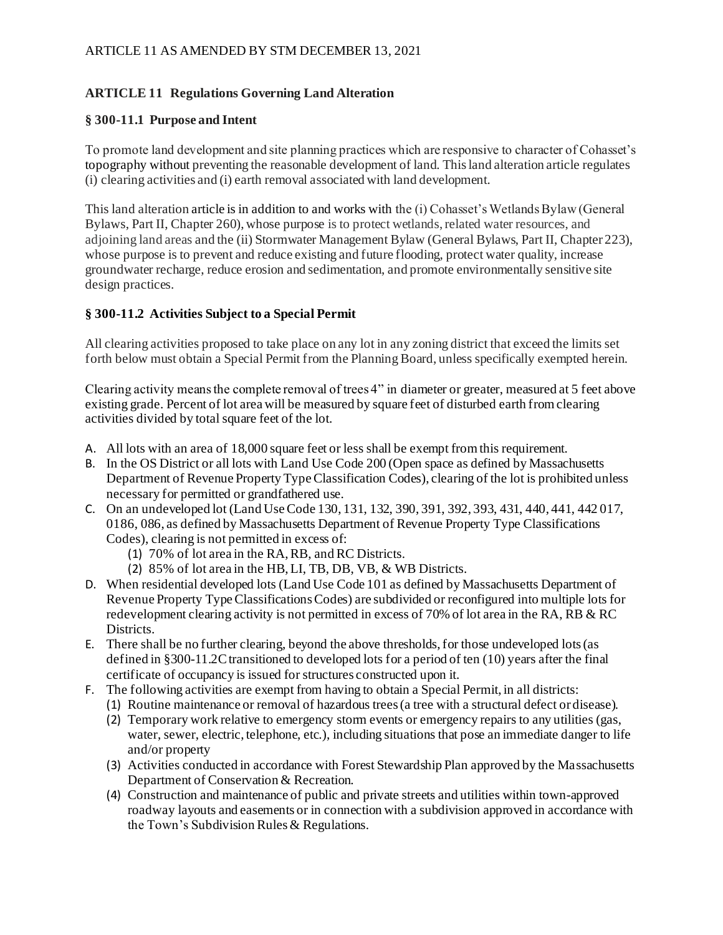# **ARTICLE 11 Regulations Governing Land Alteration**

### **§ 300-11.1 Purpose and Intent**

To promote land development and site planning practices which are responsive to character of Cohasset's topography without preventing the reasonable development of land. This land alteration article regulates (i) clearing activities and (i) earth removal associated with land development.

This land alteration article is in addition to and works with the (i) Cohasset's Wetlands Bylaw (General Bylaws, Part II, Chapter 260), whose purpose is to protect wetlands, related water resources, and adjoining land areas and the (ii) Stormwater Management Bylaw (General Bylaws, Part II, Chapter 223), whose purpose is to prevent and reduce existing and future flooding, protect water quality, increase groundwater recharge, reduce erosion and sedimentation, and promote environmentally sensitive site design practices.

## **§ 300-11.2 Activities Subject to a Special Permit**

All clearing activities proposed to take place on any lot in any zoning district that exceed the limits set forth below must obtain a Special Permit from the Planning Board, unless specifically exempted herein.

Clearing activity means the complete removal of trees 4" in diameter or greater, measured at 5 feet above existing grade. Percent of lot area will be measured by square feet of disturbed earth from clearing activities divided by total square feet of the lot.

- A. All lots with an area of 18,000 square feet or less shall be exempt from this requirement.
- B. In the OS District or all lots with Land Use Code 200 (Open space as defined by Massachusetts Department of Revenue Property Type Classification Codes), clearing of the lot is prohibited unless necessary for permitted or grandfathered use.
- C. On an undeveloped lot (Land Use Code 130, 131, 132, 390, 391, 392, 393, 431, 440, 441, 442 017, 0186, 086, as defined by Massachusetts Department of Revenue Property Type Classifications Codes), clearing is not permitted in excess of:
	- (1) 70% of lot area in the RA, RB, and RC Districts.
	- (2) 85% of lot area in the HB, LI, TB, DB, VB, & WB Districts.
- D. When residential developed lots (Land Use Code 101 as defined by Massachusetts Department of Revenue Property Type Classifications Codes) are subdivided or reconfigured into multiple lots for redevelopment clearing activity is not permitted in excess of 70% of lot area in the RA, RB & RC Districts.
- E. There shall be no further clearing, beyond the above thresholds, for those undeveloped lots (as defined in §300-11.2C transitioned to developed lots for a period of ten (10) years after the final certificate of occupancy is issued for structures constructed upon it.
- F. The following activities are exempt from having to obtain a Special Permit, in all districts:
	- (1) Routine maintenance or removal of hazardous trees (a tree with a structural defect or disease).
	- (2) Temporary work relative to emergency storm events or emergency repairs to any utilities (gas, water, sewer, electric, telephone, etc.), including situations that pose an immediate danger to life and/or property
	- (3) Activities conducted in accordance with Forest Stewardship Plan approved by the Massachusetts Department of Conservation & Recreation.
	- (4) Construction and maintenance of public and private streets and utilities within town-approved roadway layouts and easements or in connection with a subdivision approved in accordance with the Town's Subdivision Rules & Regulations.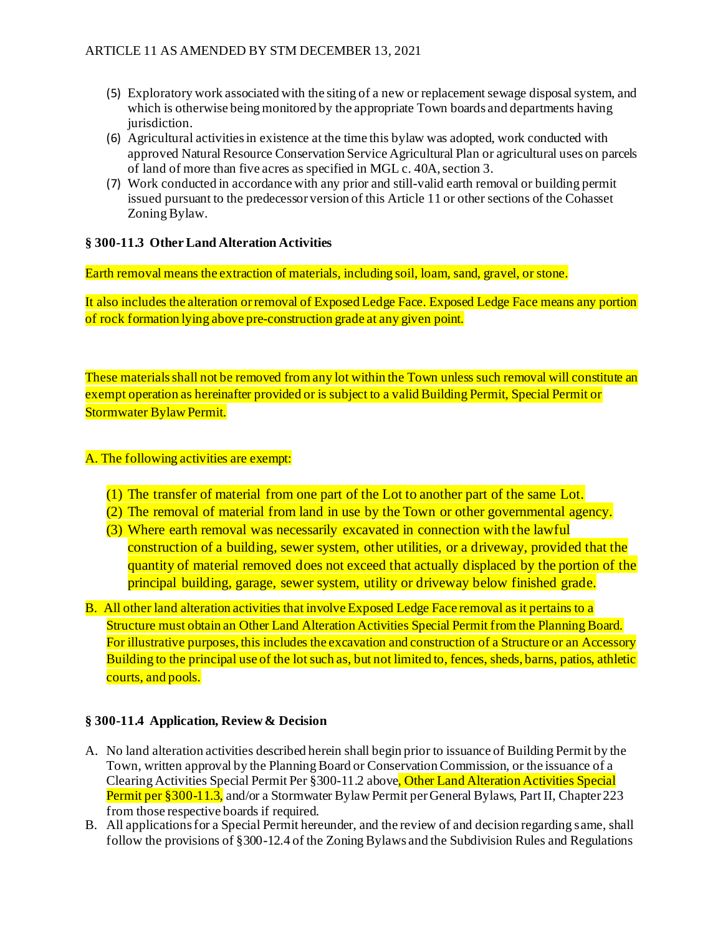- (5) Exploratory work associated with the siting of a new or replacement sewage disposal system, and which is otherwise being monitored by the appropriate Town boards and departments having jurisdiction.
- (6) Agricultural activities in existence at the time this bylaw was adopted, work conducted with approved Natural Resource Conservation Service Agricultural Plan or agricultural uses on parcels of land of more than five acres as specified in MGL c. 40A, section 3.
- (7) Work conducted in accordance with any prior and still-valid earth removal or building permit issued pursuant to the predecessor version of this Article 11 or other sections of the Cohasset Zoning Bylaw.

## **§ 300-11.3 Other Land Alteration Activities**

Earth removal means the extraction of materials, including soil, loam, sand, gravel, or stone.

It also includes the alteration or removal of Exposed Ledge Face. Exposed Ledge Face means any portion of rock formation lying above pre-construction grade at any given point.

These materials shall not be removed from any lot within the Town unless such removal will constitute an exempt operation as hereinafter provided or is subject to a valid Building Permit, Special Permit or Stormwater Bylaw Permit.

#### A. The following activities are exempt:

- (1) The transfer of material from one part of the Lot to another part of the same Lot.
- (2) The removal of material from land in use by the Town or other governmental agency.
- (3) Where earth removal was necessarily excavated in connection with the lawful construction of a building, sewer system, other utilities, or a driveway, provided that the quantity of material removed does not exceed that actually displaced by the portion of the principal building, garage, sewer system, utility or driveway below finished grade.
- B. All other land alteration activities that involve Exposed Ledge Face removal as it pertains to a Structure must obtain an Other Land Alteration Activities Special Permit from the Planning Board. For illustrative purposes, this includes the excavation and construction of a Structure or an Accessory Building to the principal use of the lot such as, but not limited to, fences, sheds, barns, patios, athletic courts, and pools.

#### **§ 300-11.4 Application, Review & Decision**

- A. No land alteration activities described herein shall begin prior to issuance of Building Permit by the Town, written approval by the Planning Board or Conservation Commission, or the issuance of a Clearing Activities Special Permit Per §300-11.2 above, Other Land Alteration Activities Special Permit per §300-11.3, and/or a Stormwater Bylaw Permit per General Bylaws, Part II, Chapter 223 from those respective boards if required.
- B. All applications for a Special Permit hereunder, and the review of and decision regarding same, shall follow the provisions of §300-12.4 of the Zoning Bylaws and the Subdivision Rules and Regulations